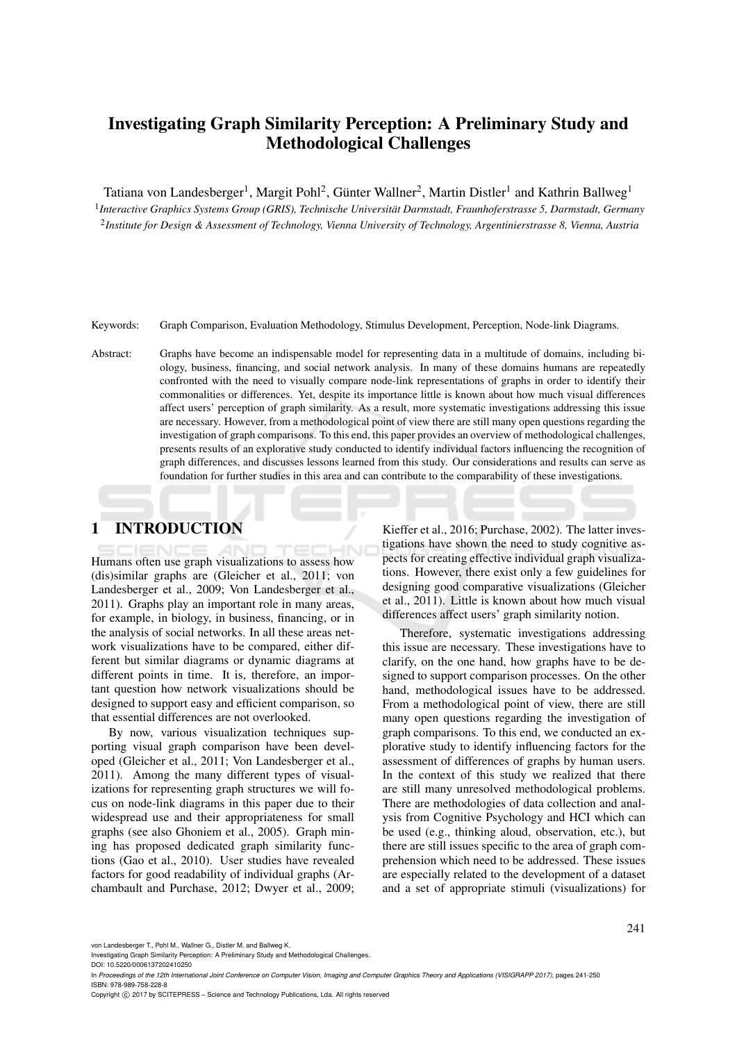# Investigating Graph Similarity Perception: A Preliminary Study and Methodological Challenges

Tatiana von Landesberger<sup>1</sup>, Margit Pohl<sup>2</sup>, Günter Wallner<sup>2</sup>, Martin Distler<sup>1</sup> and Kathrin Ballweg<sup>1</sup>

1 *Interactive Graphics Systems Group (GRIS), Technische Universitat Darmstadt, Fraunhoferstrasse 5, Darmstadt, Germany ¨* 2 *Institute for Design & Assessment of Technology, Vienna University of Technology, Argentinierstrasse 8, Vienna, Austria*

Keywords: Graph Comparison, Evaluation Methodology, Stimulus Development, Perception, Node-link Diagrams.

Abstract: Graphs have become an indispensable model for representing data in a multitude of domains, including biology, business, financing, and social network analysis. In many of these domains humans are repeatedly confronted with the need to visually compare node-link representations of graphs in order to identify their commonalities or differences. Yet, despite its importance little is known about how much visual differences affect users' perception of graph similarity. As a result, more systematic investigations addressing this issue are necessary. However, from a methodological point of view there are still many open questions regarding the investigation of graph comparisons. To this end, this paper provides an overview of methodological challenges, presents results of an explorative study conducted to identify individual factors influencing the recognition of graph differences, and discusses lessons learned from this study. Our considerations and results can serve as foundation for further studies in this area and can contribute to the comparability of these investigations.

# 1 INTRODUCTION

Humans often use graph visualizations to assess how (dis)similar graphs are (Gleicher et al., 2011; von Landesberger et al., 2009; Von Landesberger et al., 2011). Graphs play an important role in many areas, for example, in biology, in business, financing, or in the analysis of social networks. In all these areas network visualizations have to be compared, either different but similar diagrams or dynamic diagrams at different points in time. It is, therefore, an important question how network visualizations should be designed to support easy and efficient comparison, so that essential differences are not overlooked.

By now, various visualization techniques supporting visual graph comparison have been developed (Gleicher et al., 2011; Von Landesberger et al., 2011). Among the many different types of visualizations for representing graph structures we will focus on node-link diagrams in this paper due to their widespread use and their appropriateness for small graphs (see also Ghoniem et al., 2005). Graph mining has proposed dedicated graph similarity functions (Gao et al., 2010). User studies have revealed factors for good readability of individual graphs (Archambault and Purchase, 2012; Dwyer et al., 2009;

Kieffer et al., 2016; Purchase, 2002). The latter investigations have shown the need to study cognitive aspects for creating effective individual graph visualizations. However, there exist only a few guidelines for designing good comparative visualizations (Gleicher et al., 2011). Little is known about how much visual differences affect users' graph similarity notion.

Therefore, systematic investigations addressing this issue are necessary. These investigations have to clarify, on the one hand, how graphs have to be designed to support comparison processes. On the other hand, methodological issues have to be addressed. From a methodological point of view, there are still many open questions regarding the investigation of graph comparisons. To this end, we conducted an explorative study to identify influencing factors for the assessment of differences of graphs by human users. In the context of this study we realized that there are still many unresolved methodological problems. There are methodologies of data collection and analysis from Cognitive Psychology and HCI which can be used (e.g., thinking aloud, observation, etc.), but there are still issues specific to the area of graph comprehension which need to be addressed. These issues are especially related to the development of a dataset and a set of appropriate stimuli (visualizations) for

von Landesberger T., Pohl M., Wallner G., Distler M. and Ballweg K.

Copyright (C) 2017 by SCITEPRESS - Science and Technology Publications, Lda. All rights reserved

Investigating Graph Similarity Perception: A Preliminary Study and Methodological Challenges.

DOI: 10.5220/0006137202410250

In *Proceedings of the 12th International Joint Conference on Computer Vision, Imaging and Computer Graphics Theory and Applications (VISIGRAPP 2017)*, pages 241-250 ISBN: 978-989-758-228-8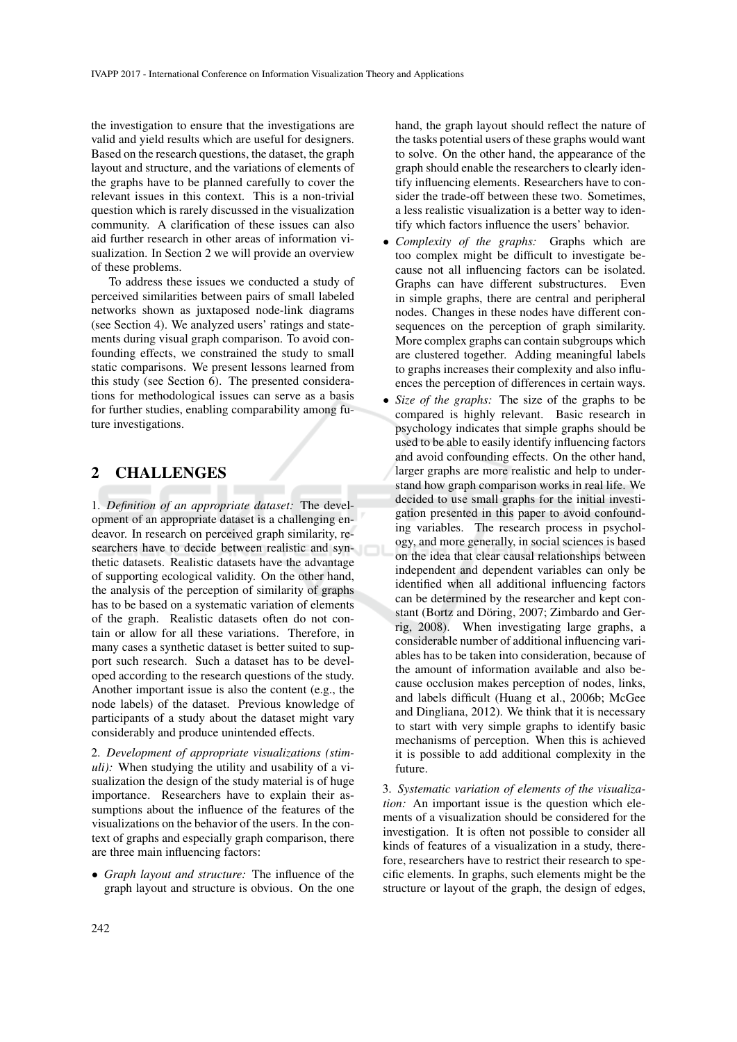the investigation to ensure that the investigations are valid and yield results which are useful for designers. Based on the research questions, the dataset, the graph layout and structure, and the variations of elements of the graphs have to be planned carefully to cover the relevant issues in this context. This is a non-trivial question which is rarely discussed in the visualization community. A clarification of these issues can also aid further research in other areas of information visualization. In Section 2 we will provide an overview of these problems.

To address these issues we conducted a study of perceived similarities between pairs of small labeled networks shown as juxtaposed node-link diagrams (see Section 4). We analyzed users' ratings and statements during visual graph comparison. To avoid confounding effects, we constrained the study to small static comparisons. We present lessons learned from this study (see Section 6). The presented considerations for methodological issues can serve as a basis for further studies, enabling comparability among future investigations.

### 2 CHALLENGES

1. *Definition of an appropriate dataset:* The development of an appropriate dataset is a challenging endeavor. In research on perceived graph similarity, researchers have to decide between realistic and synthetic datasets. Realistic datasets have the advantage of supporting ecological validity. On the other hand, the analysis of the perception of similarity of graphs has to be based on a systematic variation of elements of the graph. Realistic datasets often do not contain or allow for all these variations. Therefore, in many cases a synthetic dataset is better suited to support such research. Such a dataset has to be developed according to the research questions of the study. Another important issue is also the content (e.g., the node labels) of the dataset. Previous knowledge of participants of a study about the dataset might vary considerably and produce unintended effects.

2. *Development of appropriate visualizations (stimuli):* When studying the utility and usability of a visualization the design of the study material is of huge importance. Researchers have to explain their assumptions about the influence of the features of the visualizations on the behavior of the users. In the context of graphs and especially graph comparison, there are three main influencing factors:

• *Graph layout and structure:* The influence of the graph layout and structure is obvious. On the one hand, the graph layout should reflect the nature of the tasks potential users of these graphs would want to solve. On the other hand, the appearance of the graph should enable the researchers to clearly identify influencing elements. Researchers have to consider the trade-off between these two. Sometimes, a less realistic visualization is a better way to identify which factors influence the users' behavior.

- *Complexity of the graphs:* Graphs which are too complex might be difficult to investigate because not all influencing factors can be isolated. Graphs can have different substructures. Even in simple graphs, there are central and peripheral nodes. Changes in these nodes have different consequences on the perception of graph similarity. More complex graphs can contain subgroups which are clustered together. Adding meaningful labels to graphs increases their complexity and also influences the perception of differences in certain ways.
- *Size of the graphs:* The size of the graphs to be compared is highly relevant. Basic research in psychology indicates that simple graphs should be used to be able to easily identify influencing factors and avoid confounding effects. On the other hand, larger graphs are more realistic and help to understand how graph comparison works in real life. We decided to use small graphs for the initial investigation presented in this paper to avoid confounding variables. The research process in psychology, and more generally, in social sciences is based on the idea that clear causal relationships between independent and dependent variables can only be identified when all additional influencing factors can be determined by the researcher and kept constant (Bortz and Döring, 2007; Zimbardo and Gerrig, 2008). When investigating large graphs, a considerable number of additional influencing variables has to be taken into consideration, because of the amount of information available and also because occlusion makes perception of nodes, links, and labels difficult (Huang et al., 2006b; McGee and Dingliana, 2012). We think that it is necessary to start with very simple graphs to identify basic mechanisms of perception. When this is achieved it is possible to add additional complexity in the future.

3. *Systematic variation of elements of the visualization:* An important issue is the question which elements of a visualization should be considered for the investigation. It is often not possible to consider all kinds of features of a visualization in a study, therefore, researchers have to restrict their research to specific elements. In graphs, such elements might be the structure or layout of the graph, the design of edges,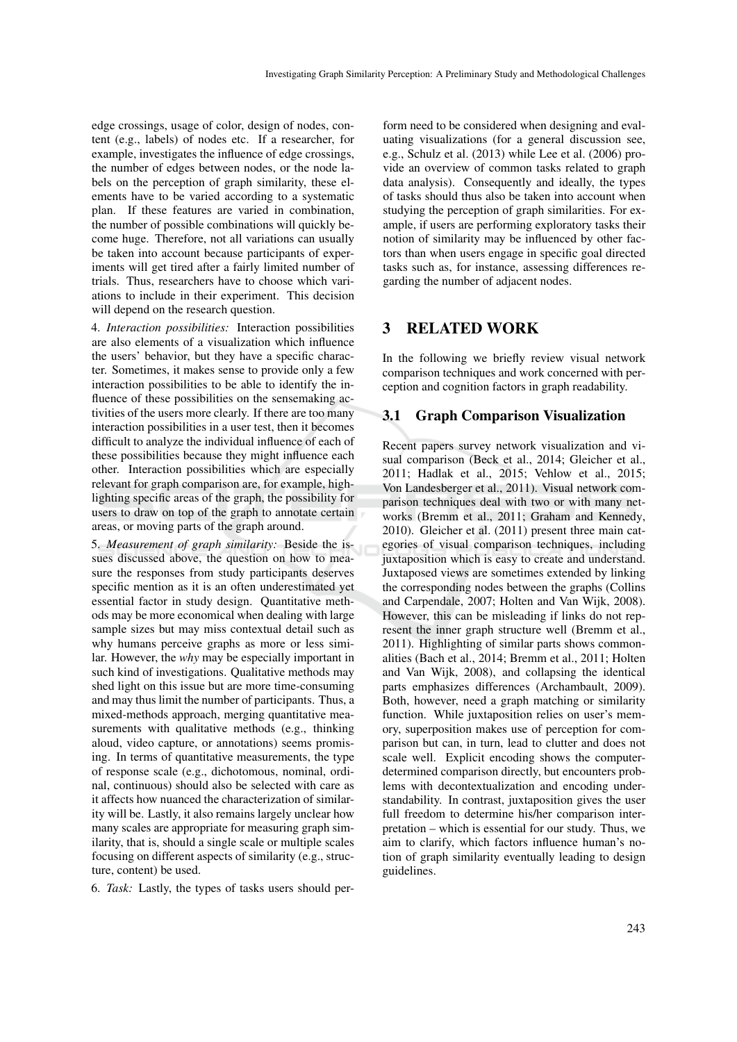edge crossings, usage of color, design of nodes, content (e.g., labels) of nodes etc. If a researcher, for example, investigates the influence of edge crossings, the number of edges between nodes, or the node labels on the perception of graph similarity, these elements have to be varied according to a systematic plan. If these features are varied in combination, the number of possible combinations will quickly become huge. Therefore, not all variations can usually be taken into account because participants of experiments will get tired after a fairly limited number of trials. Thus, researchers have to choose which variations to include in their experiment. This decision will depend on the research question.

4. *Interaction possibilities:* Interaction possibilities are also elements of a visualization which influence the users' behavior, but they have a specific character. Sometimes, it makes sense to provide only a few interaction possibilities to be able to identify the influence of these possibilities on the sensemaking activities of the users more clearly. If there are too many interaction possibilities in a user test, then it becomes difficult to analyze the individual influence of each of these possibilities because they might influence each other. Interaction possibilities which are especially relevant for graph comparison are, for example, highlighting specific areas of the graph, the possibility for users to draw on top of the graph to annotate certain areas, or moving parts of the graph around.

5. *Measurement of graph similarity:* Beside the issues discussed above, the question on how to measure the responses from study participants deserves specific mention as it is an often underestimated yet essential factor in study design. Quantitative methods may be more economical when dealing with large sample sizes but may miss contextual detail such as why humans perceive graphs as more or less similar. However, the *why* may be especially important in such kind of investigations. Qualitative methods may shed light on this issue but are more time-consuming and may thus limit the number of participants. Thus, a mixed-methods approach, merging quantitative measurements with qualitative methods (e.g., thinking aloud, video capture, or annotations) seems promising. In terms of quantitative measurements, the type of response scale (e.g., dichotomous, nominal, ordinal, continuous) should also be selected with care as it affects how nuanced the characterization of similarity will be. Lastly, it also remains largely unclear how many scales are appropriate for measuring graph similarity, that is, should a single scale or multiple scales focusing on different aspects of similarity (e.g., structure, content) be used.

6. *Task:* Lastly, the types of tasks users should per-

form need to be considered when designing and evaluating visualizations (for a general discussion see, e.g., Schulz et al. (2013) while Lee et al. (2006) provide an overview of common tasks related to graph data analysis). Consequently and ideally, the types of tasks should thus also be taken into account when studying the perception of graph similarities. For example, if users are performing exploratory tasks their notion of similarity may be influenced by other factors than when users engage in specific goal directed tasks such as, for instance, assessing differences regarding the number of adjacent nodes.

### 3 RELATED WORK

In the following we briefly review visual network comparison techniques and work concerned with perception and cognition factors in graph readability.

### 3.1 Graph Comparison Visualization

Recent papers survey network visualization and visual comparison (Beck et al., 2014; Gleicher et al., 2011; Hadlak et al., 2015; Vehlow et al., 2015; Von Landesberger et al., 2011). Visual network comparison techniques deal with two or with many networks (Bremm et al., 2011; Graham and Kennedy, 2010). Gleicher et al. (2011) present three main categories of visual comparison techniques, including juxtaposition which is easy to create and understand. Juxtaposed views are sometimes extended by linking the corresponding nodes between the graphs (Collins and Carpendale, 2007; Holten and Van Wijk, 2008). However, this can be misleading if links do not represent the inner graph structure well (Bremm et al., 2011). Highlighting of similar parts shows commonalities (Bach et al., 2014; Bremm et al., 2011; Holten and Van Wijk, 2008), and collapsing the identical parts emphasizes differences (Archambault, 2009). Both, however, need a graph matching or similarity function. While juxtaposition relies on user's memory, superposition makes use of perception for comparison but can, in turn, lead to clutter and does not scale well. Explicit encoding shows the computerdetermined comparison directly, but encounters problems with decontextualization and encoding understandability. In contrast, juxtaposition gives the user full freedom to determine his/her comparison interpretation – which is essential for our study. Thus, we aim to clarify, which factors influence human's notion of graph similarity eventually leading to design guidelines.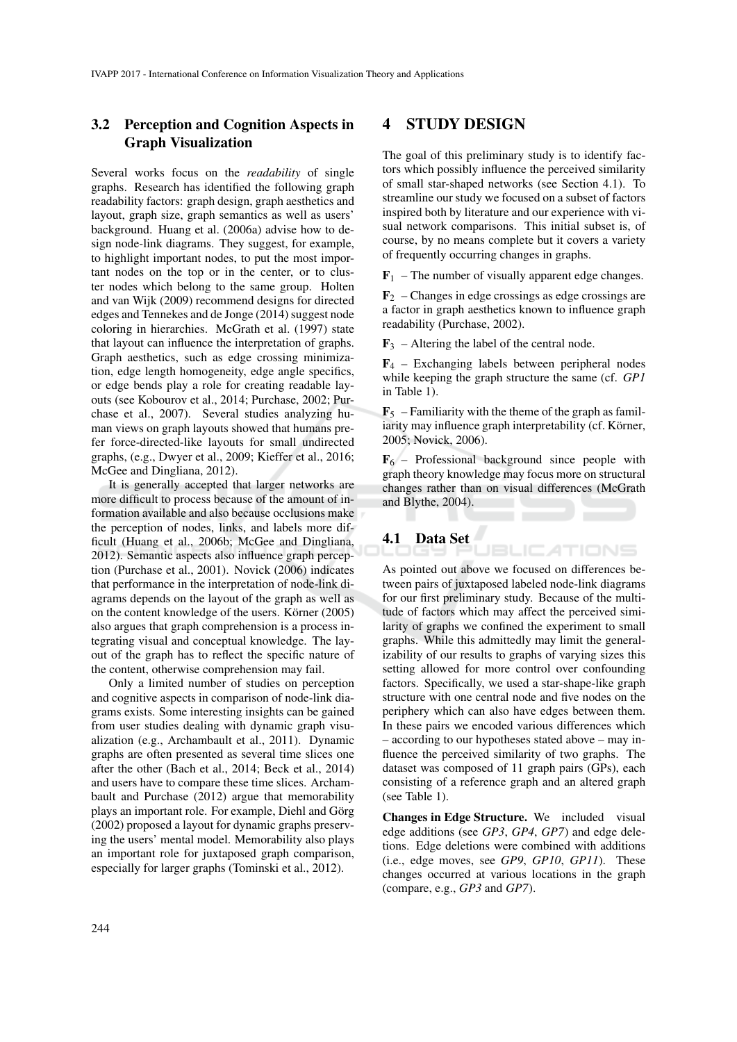### 3.2 Perception and Cognition Aspects in Graph Visualization

Several works focus on the *readability* of single graphs. Research has identified the following graph readability factors: graph design, graph aesthetics and layout, graph size, graph semantics as well as users' background. Huang et al. (2006a) advise how to design node-link diagrams. They suggest, for example, to highlight important nodes, to put the most important nodes on the top or in the center, or to cluster nodes which belong to the same group. Holten and van Wijk (2009) recommend designs for directed edges and Tennekes and de Jonge (2014) suggest node coloring in hierarchies. McGrath et al. (1997) state that layout can influence the interpretation of graphs. Graph aesthetics, such as edge crossing minimization, edge length homogeneity, edge angle specifics, or edge bends play a role for creating readable layouts (see Kobourov et al., 2014; Purchase, 2002; Purchase et al., 2007). Several studies analyzing human views on graph layouts showed that humans prefer force-directed-like layouts for small undirected graphs, (e.g., Dwyer et al., 2009; Kieffer et al., 2016; McGee and Dingliana, 2012).

It is generally accepted that larger networks are more difficult to process because of the amount of information available and also because occlusions make the perception of nodes, links, and labels more difficult (Huang et al., 2006b; McGee and Dingliana, 2012). Semantic aspects also influence graph perception (Purchase et al., 2001). Novick (2006) indicates that performance in the interpretation of node-link diagrams depends on the layout of the graph as well as on the content knowledge of the users. Körner (2005) also argues that graph comprehension is a process integrating visual and conceptual knowledge. The layout of the graph has to reflect the specific nature of the content, otherwise comprehension may fail.

Only a limited number of studies on perception and cognitive aspects in comparison of node-link diagrams exists. Some interesting insights can be gained from user studies dealing with dynamic graph visualization (e.g., Archambault et al., 2011). Dynamic graphs are often presented as several time slices one after the other (Bach et al., 2014; Beck et al., 2014) and users have to compare these time slices. Archambault and Purchase (2012) argue that memorability plays an important role. For example, Diehl and Görg (2002) proposed a layout for dynamic graphs preserving the users' mental model. Memorability also plays an important role for juxtaposed graph comparison, especially for larger graphs (Tominski et al., 2012).

### 4 STUDY DESIGN

The goal of this preliminary study is to identify factors which possibly influence the perceived similarity of small star-shaped networks (see Section 4.1). To streamline our study we focused on a subset of factors inspired both by literature and our experience with visual network comparisons. This initial subset is, of course, by no means complete but it covers a variety of frequently occurring changes in graphs.

 $\mathbf{F}_1$  – The number of visually apparent edge changes.

 $\mathbf{F}_2$  – Changes in edge crossings as edge crossings are a factor in graph aesthetics known to influence graph readability (Purchase, 2002).

 $\mathbf{F}_3$  – Altering the label of the central node.

 $\mathbf{F}_4$  – Exchanging labels between peripheral nodes while keeping the graph structure the same (cf. *GP1* in Table 1).

 $\mathbf{F}_5$  – Familiarity with the theme of the graph as familiarity may influence graph interpretability (cf. Körner, 2005; Novick, 2006).

 $\mathbf{F}_6$  – Professional background since people with graph theory knowledge may focus more on structural changes rather than on visual differences (McGrath and Blythe, 2004).

**JBLICATIONS** 

# 4.1 Data Set

As pointed out above we focused on differences between pairs of juxtaposed labeled node-link diagrams for our first preliminary study. Because of the multitude of factors which may affect the perceived similarity of graphs we confined the experiment to small graphs. While this admittedly may limit the generalizability of our results to graphs of varying sizes this setting allowed for more control over confounding factors. Specifically, we used a star-shape-like graph structure with one central node and five nodes on the periphery which can also have edges between them. In these pairs we encoded various differences which – according to our hypotheses stated above – may influence the perceived similarity of two graphs. The dataset was composed of 11 graph pairs (GPs), each consisting of a reference graph and an altered graph (see Table 1).

Changes in Edge Structure. We included visual edge additions (see *GP3*, *GP4*, *GP7*) and edge deletions. Edge deletions were combined with additions (i.e., edge moves, see *GP9*, *GP10*, *GP11*). These changes occurred at various locations in the graph (compare, e.g., *GP3* and *GP7*).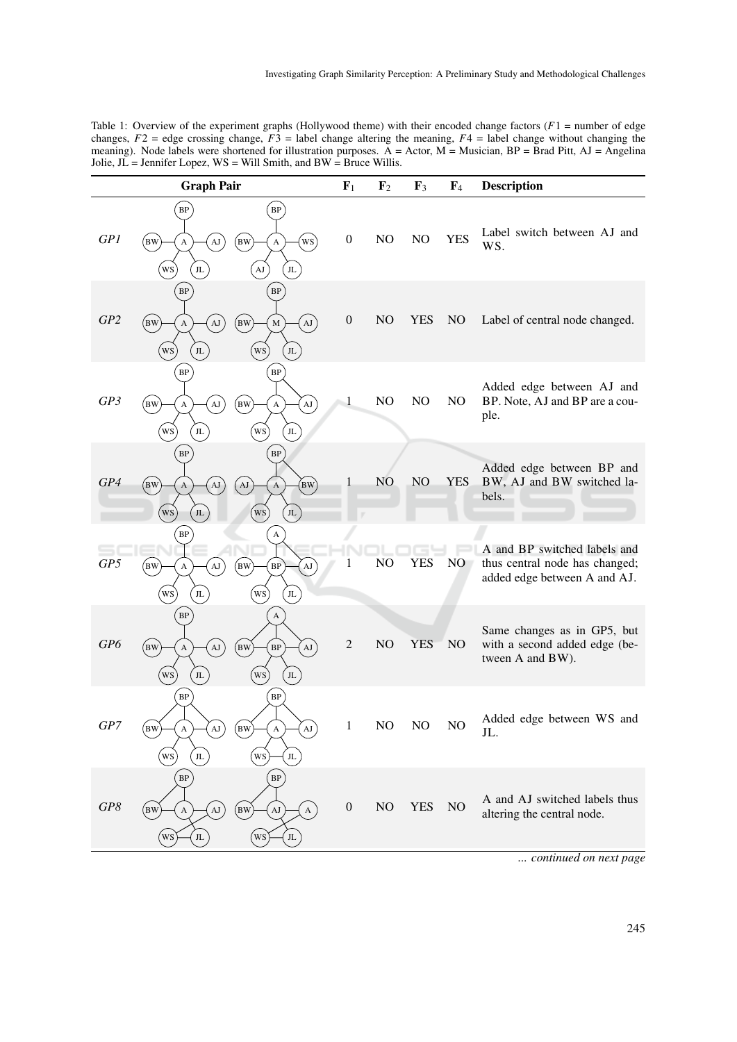Table 1: Overview of the experiment graphs (Hollywood theme) with their encoded change factors (*F*1 = number of edge changes,  $F2$  = edge crossing change,  $F3$  = label change altering the meaning,  $F4$  = label change without changing the meaning). Node labels were shortened for illustration purposes. A = Actor, M = Musician, BP = Brad Pitt, AJ = Angelina Jolie,  $J\overline{L}$  = Jennifer Lopez, WS = Will Smith, and BW = Bruce Willis.

|                 | <b>Graph Pair</b>                                                                                              |                                                                                                       | $F_1$            | $\mathbf{F}_2$ | $\mathbf{F}_3$ | F <sub>4</sub> | <b>Description</b>                                                                             |
|-----------------|----------------------------------------------------------------------------------------------------------------|-------------------------------------------------------------------------------------------------------|------------------|----------------|----------------|----------------|------------------------------------------------------------------------------------------------|
| GPI             | $\rm BP$<br>$_{\rm [BW]}$<br>$\rm{AJ}$<br>A<br>ws<br>$\rm JL$                                                  | B<br>ws<br>(BW<br>A<br>$\rm AJ$<br>$\rm JL$                                                           | $\boldsymbol{0}$ | NO             | NO             | <b>YES</b>     | Label switch between AJ and<br>WS.                                                             |
| GP <sub>2</sub> | $\rm BP$<br>$_{\rm BW}$<br>AJ<br>A<br>(ws)<br>$_{\rm JL}$                                                      | $\rm BP$<br>$\left( \mathbf{A}\mathbf{J}\right)$<br>(BW<br>$\mathbf M$<br>ws <sup>1</sup><br>$\rm JL$ | $\boldsymbol{0}$ | N <sub>O</sub> | <b>YES</b>     | NO             | Label of central node changed.                                                                 |
| GP3             | $\rm BP$<br>$_{\rm BW}$<br>$\mathbf{A}\mathbf{J}$<br>A<br><b>WS</b><br>$\rm JL$                                | $\rm BP$<br>(BW<br>$\rm{AJ}$<br>A<br>(ws)<br>JL                                                       | $\mathbf{1}$     | NO             | NO             | NO             | Added edge between AJ and<br>BP. Note, AJ and BP are a cou-<br>ple.                            |
| GP4             | <b>BP</b><br>(BW)<br>AJ<br>$\mathbf{A}$<br>WS<br>$_{\rm JL}$                                                   | BP<br>$_{\text{BW}}$<br>AJ<br>A<br>WS<br>$_{\rm JL}$                                                  |                  | NO             | NO.            | <b>YES</b>     | Added edge between BP and<br>BW, AJ and BW switched la-<br>bels.                               |
| GP5             | <b>BP</b><br>$_{\rm BW}$<br>$\Delta J$<br>A<br>ws<br>$_{\rm JL}$                                               | A<br>(BW)<br>B<br>$\mathbf{A}\mathbf{J}$<br>(ws)<br>J <sub>L</sub>                                    |                  | NO             | YES            | NO             | A and BP switched labels and<br>thus central node has changed;<br>added edge between A and AJ. |
| GP6             | <b>BP</b><br>(BW)<br>$\mathbf{A}$ <b>J</b><br>$\boldsymbol{\rm{A}}$<br>$\left(\frac{WS}{e}\right)$<br>$\rm JL$ | A<br>AJ<br>$_{\rm (BW)}$<br>$\rm BP$<br>WS<br>$\rm JL$                                                | $\overline{2}$   | NO             | <b>YES</b>     | NO             | Same changes as in GP5, but<br>with a second added edge (be-<br>tween A and BW).               |
| GP7             | $\rm BP$<br>BW<br>$\boldsymbol{\mathsf{A}}$<br>$\mathbf{A}\mathbf{J}$<br>WS<br>$_{\rm JL}$                     | B<br>$\rm AJ$<br>(BW<br>$\boldsymbol{\rm{A}}$<br>ws<br>$_{\rm JL}$                                    | 1                | NO             | NO             | NO             | Added edge between WS and<br>JL.                                                               |
| GP8             | $\rm BP$<br>$_{\rm BW}$<br>$\rm{AJ}$<br>A<br>$_{\rm JL}$<br>WS                                                 | B<br>(BW<br>AJ<br>$\boldsymbol{\rm{A}}$<br>$\rm JL$<br>WS                                             | $\boldsymbol{0}$ | NO             | <b>YES</b>     | NO             | A and AJ switched labels thus<br>altering the central node.                                    |
|                 |                                                                                                                |                                                                                                       |                  |                |                |                | continued on next page                                                                         |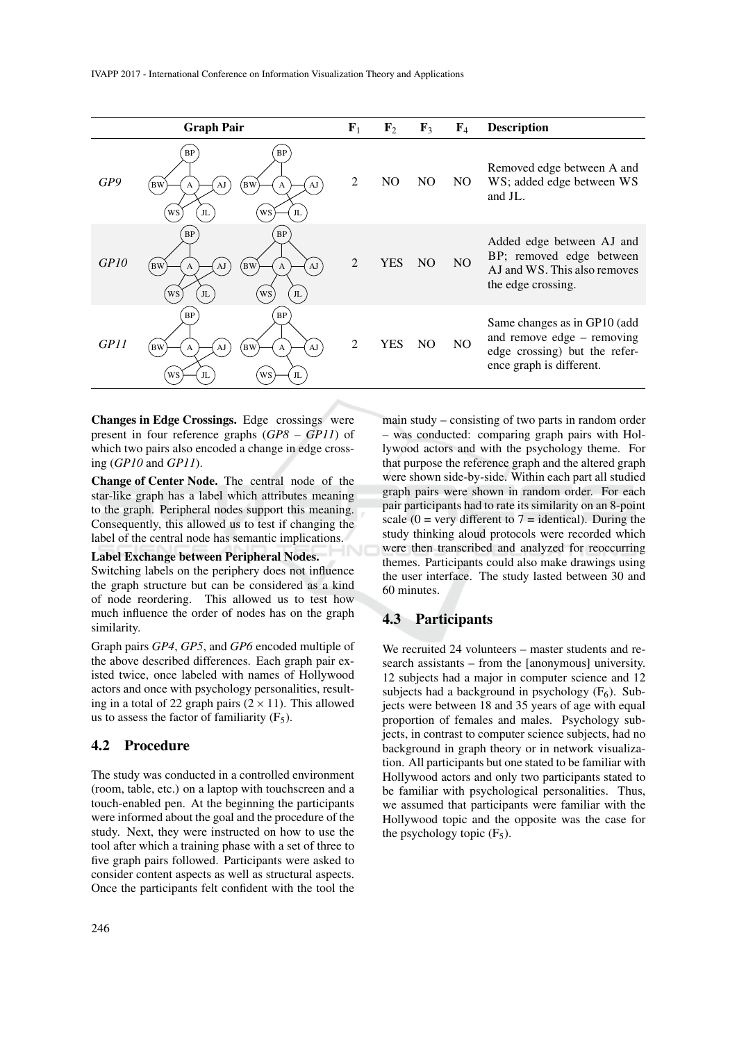|      | <b>Graph Pair</b>                                                                                               | ${\bf F}_1$    | $\mathbf{F}_2$ | $\mathbf{F}_3$ | $\mathbf{F}_4$ | <b>Description</b>                                                                                                        |
|------|-----------------------------------------------------------------------------------------------------------------|----------------|----------------|----------------|----------------|---------------------------------------------------------------------------------------------------------------------------|
| GP9  | BP<br>BP<br>(BW<br>AJ<br><b>BW</b><br>AJ<br>A<br>A<br>WS<br>WS<br>JL<br>JL                                      | 2              | N <sub>O</sub> | NO.            | NO.            | Removed edge between A and<br>WS; added edge between WS<br>and JL.                                                        |
| GPIO | <b>BP</b><br><b>BP</b><br>(BW<br>AJ<br>AJ<br><b>BW</b><br>$\mathbf{A}$<br>A<br>WS<br>WS<br>J <sub>L</sub><br>JL | $\overline{2}$ | YES            | N <sub>O</sub> | N <sub>O</sub> | Added edge between AJ and<br>BP; removed edge between<br>AJ and WS. This also removes<br>the edge crossing.               |
| GPI1 | BP<br><b>BP</b><br>(BW<br>AJ<br><b>BW</b><br>AJ<br>A<br>A<br>JL<br>WS<br>JL<br>WS                               | $\overline{2}$ | YES            | NO.            | N <sub>O</sub> | Same changes as in GP10 (add<br>and remove edge $-$ removing<br>edge crossing) but the refer-<br>ence graph is different. |

Changes in Edge Crossings. Edge crossings were present in four reference graphs (*GP8* – *GP11*) of which two pairs also encoded a change in edge crossing (*GP10* and *GP11*).

Change of Center Node. The central node of the star-like graph has a label which attributes meaning to the graph. Peripheral nodes support this meaning. Consequently, this allowed us to test if changing the label of the central node has semantic implications.

#### Label Exchange between Peripheral Nodes.

Switching labels on the periphery does not influence the graph structure but can be considered as a kind of node reordering. This allowed us to test how much influence the order of nodes has on the graph similarity.

Graph pairs *GP4*, *GP5*, and *GP6* encoded multiple of the above described differences. Each graph pair existed twice, once labeled with names of Hollywood actors and once with psychology personalities, resulting in a total of 22 graph pairs  $(2 \times 11)$ . This allowed us to assess the factor of familiarity  $(F_5)$ .

#### 4.2 Procedure

The study was conducted in a controlled environment (room, table, etc.) on a laptop with touchscreen and a touch-enabled pen. At the beginning the participants were informed about the goal and the procedure of the study. Next, they were instructed on how to use the tool after which a training phase with a set of three to five graph pairs followed. Participants were asked to consider content aspects as well as structural aspects. Once the participants felt confident with the tool the

main study – consisting of two parts in random order – was conducted: comparing graph pairs with Hollywood actors and with the psychology theme. For that purpose the reference graph and the altered graph were shown side-by-side. Within each part all studied graph pairs were shown in random order. For each pair participants had to rate its similarity on an 8-point scale ( $0 = \text{very different to } 7 = \text{identical}$ ). During the study thinking aloud protocols were recorded which were then transcribed and analyzed for reoccurring themes. Participants could also make drawings using the user interface. The study lasted between 30 and 60 minutes.

### 4.3 Participants

We recruited 24 volunteers – master students and research assistants – from the [anonymous] university. 12 subjects had a major in computer science and 12 subjects had a background in psychology  $(F_6)$ . Subjects were between 18 and 35 years of age with equal proportion of females and males. Psychology subjects, in contrast to computer science subjects, had no background in graph theory or in network visualization. All participants but one stated to be familiar with Hollywood actors and only two participants stated to be familiar with psychological personalities. Thus, we assumed that participants were familiar with the Hollywood topic and the opposite was the case for the psychology topic  $(F_5)$ .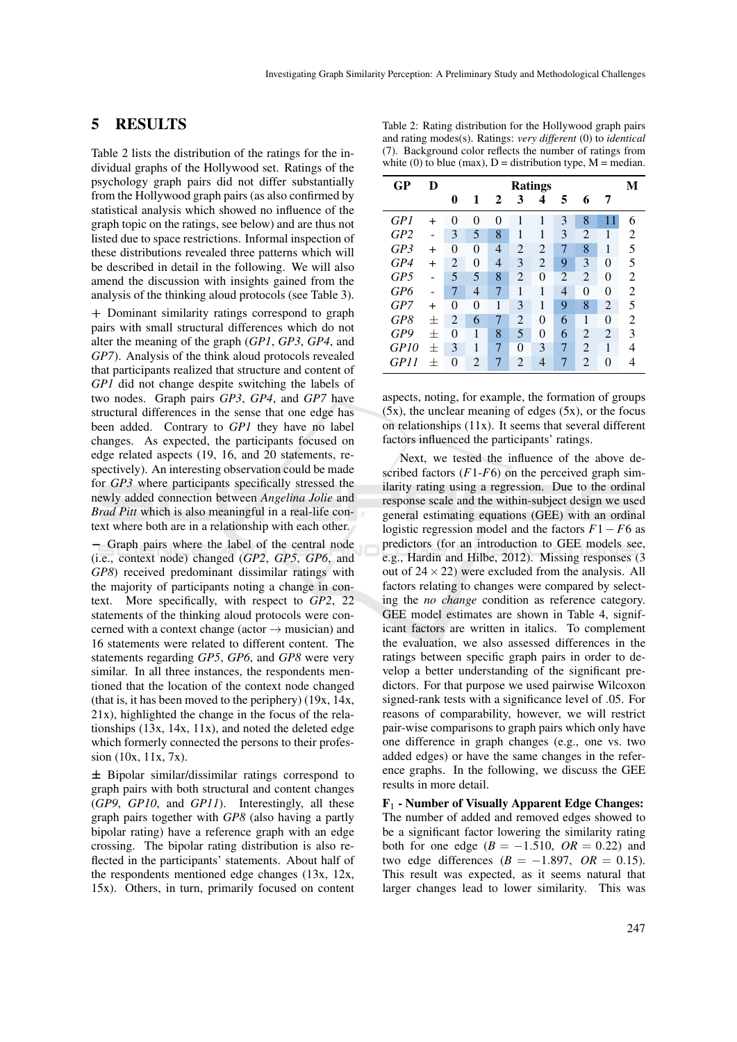### 5 RESULTS

Table 2 lists the distribution of the ratings for the individual graphs of the Hollywood set. Ratings of the psychology graph pairs did not differ substantially from the Hollywood graph pairs (as also confirmed by statistical analysis which showed no influence of the graph topic on the ratings, see below) and are thus not listed due to space restrictions. Informal inspection of these distributions revealed three patterns which will be described in detail in the following. We will also amend the discussion with insights gained from the analysis of the thinking aloud protocols (see Table 3).

+ Dominant similarity ratings correspond to graph pairs with small structural differences which do not alter the meaning of the graph (*GP1*, *GP3*, *GP4*, and *GP7*). Analysis of the think aloud protocols revealed that participants realized that structure and content of *GP1* did not change despite switching the labels of two nodes. Graph pairs *GP3*, *GP4*, and *GP7* have structural differences in the sense that one edge has been added. Contrary to *GP1* they have no label changes. As expected, the participants focused on edge related aspects (19, 16, and 20 statements, respectively). An interesting observation could be made for *GP3* where participants specifically stressed the newly added connection between *Angelina Jolie* and *Brad Pitt* which is also meaningful in a real-life context where both are in a relationship with each other.

− Graph pairs where the label of the central node (i.e., context node) changed (*GP2*, *GP5*, *GP6*, and *GP8*) received predominant dissimilar ratings with the majority of participants noting a change in context. More specifically, with respect to *GP2*, 22 statements of the thinking aloud protocols were concerned with a context change (actor  $\rightarrow$  musician) and 16 statements were related to different content. The statements regarding *GP5*, *GP6*, and *GP8* were very similar. In all three instances, the respondents mentioned that the location of the context node changed (that is, it has been moved to the periphery) (19x, 14x, 21x), highlighted the change in the focus of the relationships  $(13x, 14x, 11x)$ , and noted the deleted edge which formerly connected the persons to their profession (10x, 11x, 7x).

± Bipolar similar/dissimilar ratings correspond to graph pairs with both structural and content changes (*GP9*, *GP10*, and *GP11*). Interestingly, all these graph pairs together with *GP8* (also having a partly bipolar rating) have a reference graph with an edge crossing. The bipolar rating distribution is also reflected in the participants' statements. About half of the respondents mentioned edge changes (13x, 12x, 15x). Others, in turn, primarily focused on content

Table 2: Rating distribution for the Hollywood graph pairs and rating modes(s). Ratings: *very different* (0) to *identical* (7). Background color reflects the number of ratings from white (0) to blue (max),  $D =$  distribution type,  $M =$  median.

| GP              | D         | <b>Ratings</b> |                |   |                |                |                | M              |                |                |
|-----------------|-----------|----------------|----------------|---|----------------|----------------|----------------|----------------|----------------|----------------|
|                 |           | 0              | 1              | 2 | 3              | 4              | 5              | 6              | 7              |                |
| GPI             | $^+$      | 0              | 0              | 0 | 1              | 1              | 3              | 8              | 11             | 6              |
| GP <sub>2</sub> |           | 3              | 5              | 8 | 1              | 1              | 3              | $\overline{2}$ | 1              | 2              |
| GP3             | $\pm$     | $\theta$       | 0              | 4 | $\overline{2}$ | $\overline{2}$ | 7              | 8              | 1              | 5              |
| GP4             | $^{+}$    | $\overline{2}$ | 0              | 4 | 3              | $\overline{2}$ | 9              | 3              | $\theta$       | 5              |
| GP5             |           | 5              | 5              | 8 | $\overline{2}$ | $\overline{0}$ | $\overline{2}$ | $\overline{2}$ | $\theta$       | 2              |
| GP6             |           | 7              | 4              | 7 | 1              | 1              | $\overline{4}$ | $\theta$       | $\theta$       | $\overline{2}$ |
| GP7             | $\ddot{}$ | 0              | 0              | 1 | 3              | 1              | 9              | 8              | $\overline{2}$ | 5              |
| G P8            | 士         | $\overline{2}$ | 6              | 7 | $\overline{2}$ | $\theta$       | 6              | 1              | $\Omega$       | 2              |
| GP9             | $\pm$     | $\theta$       | 1              | 8 | 5              | $\theta$       | 6              | $\overline{2}$ | $\overline{2}$ | 3              |
| GPI0            | $\pm$     | 3              | 1              | 7 | $\theta$       | 3              | 7              | $\overline{2}$ | 1              | 4              |
| <b>GP11</b>     | $^{+}$    | 0              | $\overline{2}$ | 7 | $\overline{2}$ | 4              | 7              | $\overline{2}$ | $\theta$       | 4              |

aspects, noting, for example, the formation of groups (5x), the unclear meaning of edges (5x), or the focus on relationships (11x). It seems that several different factors influenced the participants' ratings.

Next, we tested the influence of the above described factors  $(F1-F6)$  on the perceived graph similarity rating using a regression. Due to the ordinal response scale and the within-subject design we used general estimating equations (GEE) with an ordinal logistic regression model and the factors  $F1 - F6$  as predictors (for an introduction to GEE models see, e.g., Hardin and Hilbe, 2012). Missing responses (3 out of  $24 \times 22$ ) were excluded from the analysis. All factors relating to changes were compared by selecting the *no change* condition as reference category. GEE model estimates are shown in Table 4, significant factors are written in italics. To complement the evaluation, we also assessed differences in the ratings between specific graph pairs in order to develop a better understanding of the significant predictors. For that purpose we used pairwise Wilcoxon signed-rank tests with a significance level of .05. For reasons of comparability, however, we will restrict pair-wise comparisons to graph pairs which only have one difference in graph changes (e.g., one vs. two added edges) or have the same changes in the reference graphs. In the following, we discuss the GEE results in more detail.

F<sup>1</sup> - Number of Visually Apparent Edge Changes: The number of added and removed edges showed to be a significant factor lowering the similarity rating both for one edge  $(B = -1.510, \text{ OR } = 0.22)$  and two edge differences  $(B = -1.897, OR = 0.15)$ . This result was expected, as it seems natural that larger changes lead to lower similarity. This was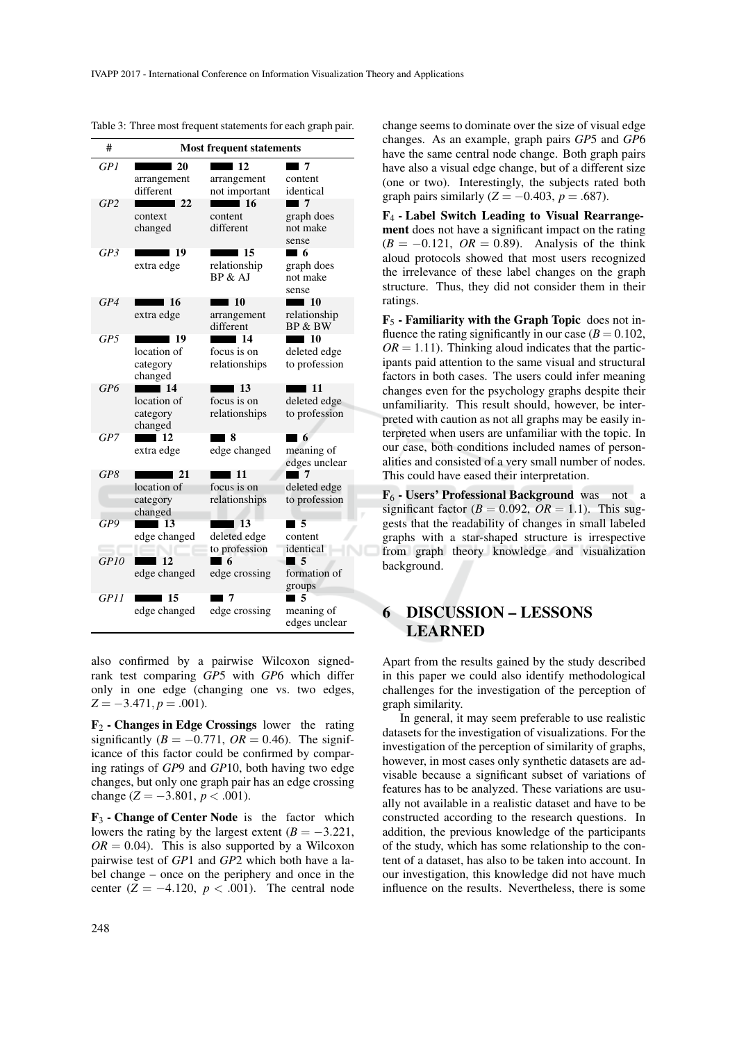| #               | <b>Most frequent statements</b>                         |                                                    |                                                         |  |  |  |  |
|-----------------|---------------------------------------------------------|----------------------------------------------------|---------------------------------------------------------|--|--|--|--|
| GP <sub>1</sub> | l 20<br>arrangement<br>different                        | 12<br>arrangement<br>not important                 | ∎ 7<br>content<br>identical                             |  |  |  |  |
| GP2             | -22<br>context<br>changed                               | $\blacksquare$ 16<br>content<br>different          | $\blacksquare$<br>graph does<br>not make<br>sense       |  |  |  |  |
| GP3             | -19<br>extra edge                                       | l 15<br>relationship<br>BP & AJ                    | - 6<br>graph does<br>not make<br>sense                  |  |  |  |  |
| GP4             | -16<br>extra edge                                       | $\blacksquare$ 10<br>arrangement<br>different      | $\blacksquare$ 10<br>relationship<br><b>BP &amp; BW</b> |  |  |  |  |
| GP5             | <b>19</b><br>location of<br>category<br>changed         | $\blacksquare$ 14<br>focus is on<br>relationships  | $\blacksquare$ 10<br>deleted edge<br>to profession      |  |  |  |  |
| GP6             | $\blacksquare$ 14<br>location of<br>category<br>changed | -13<br>focus is on<br>relationships                | $\blacksquare$ 11<br>deleted edge<br>to profession      |  |  |  |  |
| GP7             | $\blacksquare$ 12<br>extra edge                         | - 8<br>edge changed                                | $\sqrt{6}$<br>meaning of<br>edges unclear               |  |  |  |  |
| GP8             | $\sqrt{21}$<br>location of<br>category<br>changed       | ∎ 11<br>focus is on<br>relationships               | ∎ 7<br>deleted edge<br>to profession                    |  |  |  |  |
| GP9             | $\blacksquare$ 13<br>edge changed                       | $\blacksquare$ 13<br>deleted edge                  | 5<br>content                                            |  |  |  |  |
| GPIO            | 12<br>edge changed                                      | to profession<br>$\blacksquare$ 6<br>edge crossing | identical<br>$\blacksquare$ 5<br>formation of<br>groups |  |  |  |  |
| GPII            | 15<br>edge changed                                      | edge crossing                                      | l 5<br>meaning of<br>edges unclear                      |  |  |  |  |

Table 3: Three most frequent statements for each graph pair.

also confirmed by a pairwise Wilcoxon signedrank test comparing *GP*5 with *GP*6 which differ only in one edge (changing one vs. two edges,  $Z = -3.471, p = .001$ .

 $\mathbf{F}_2$  - Changes in Edge Crossings lower the rating significantly  $(B = -0.771, \text{ OR } = 0.46)$ . The significance of this factor could be confirmed by comparing ratings of *GP*9 and *GP*10, both having two edge changes, but only one graph pair has an edge crossing change  $(Z = -3.801, p < .001)$ .

 $\mathbf{F}_3$  - Change of Center Node is the factor which lowers the rating by the largest extent  $(B = -3.221$ ,  $OR = 0.04$ . This is also supported by a Wilcoxon pairwise test of *GP*1 and *GP*2 which both have a label change – once on the periphery and once in the center  $(Z = -4.120, p < .001)$ . The central node change seems to dominate over the size of visual edge changes. As an example, graph pairs *GP*5 and *GP*6 have the same central node change. Both graph pairs have also a visual edge change, but of a different size (one or two). Interestingly, the subjects rated both graph pairs similarly  $(Z = -0.403, p = .687)$ .

F<sup>4</sup> - Label Switch Leading to Visual Rearrangement does not have a significant impact on the rating  $(B = -0.121, \text{ OR } = 0.89)$ . Analysis of the think aloud protocols showed that most users recognized the irrelevance of these label changes on the graph structure. Thus, they did not consider them in their ratings.

 $\mathbf{F}_5$  - Familiarity with the Graph Topic does not influence the rating significantly in our case  $(B = 0.102$ ,  $OR = 1.11$ ). Thinking aloud indicates that the participants paid attention to the same visual and structural factors in both cases. The users could infer meaning changes even for the psychology graphs despite their unfamiliarity. This result should, however, be interpreted with caution as not all graphs may be easily interpreted when users are unfamiliar with the topic. In our case, both conditions included names of personalities and consisted of a very small number of nodes. This could have eased their interpretation.

F<sup>6</sup> - Users' Professional Background was not a significant factor ( $B = 0.092$ ,  $OR = 1.1$ ). This suggests that the readability of changes in small labeled graphs with a star-shaped structure is irrespective from graph theory knowledge and visualization background.

# 6 DISCUSSION – LESSONS LEARNED

Apart from the results gained by the study described in this paper we could also identify methodological challenges for the investigation of the perception of graph similarity.

In general, it may seem preferable to use realistic datasets for the investigation of visualizations. For the investigation of the perception of similarity of graphs, however, in most cases only synthetic datasets are advisable because a significant subset of variations of features has to be analyzed. These variations are usually not available in a realistic dataset and have to be constructed according to the research questions. In addition, the previous knowledge of the participants of the study, which has some relationship to the content of a dataset, has also to be taken into account. In our investigation, this knowledge did not have much influence on the results. Nevertheless, there is some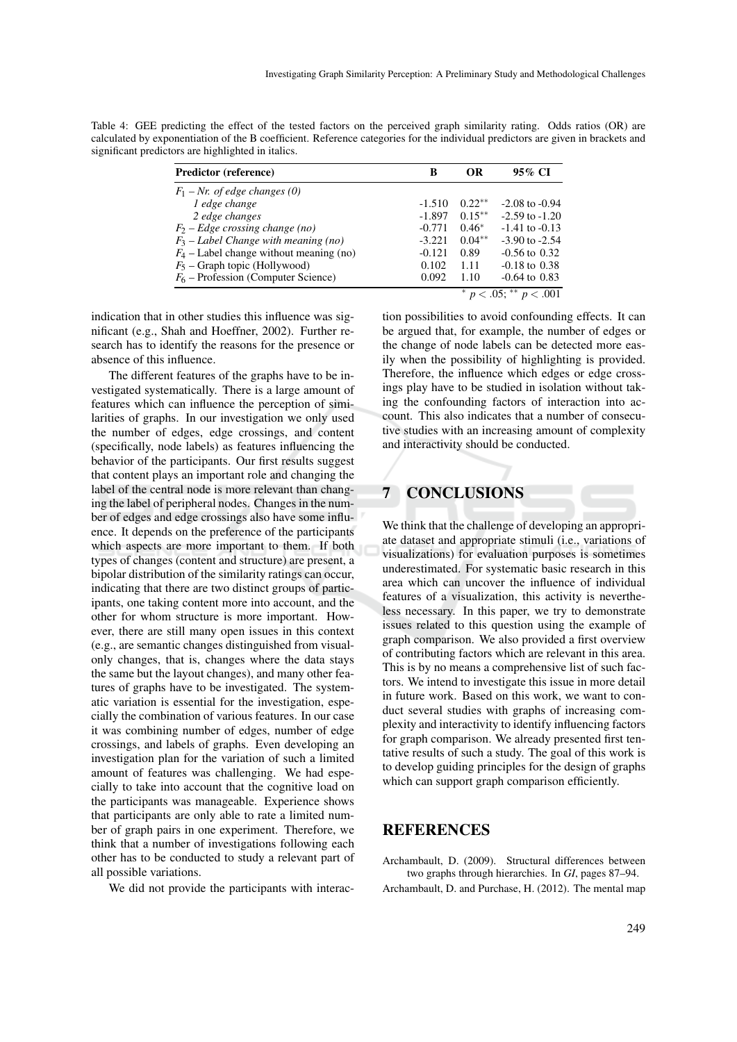Table 4: GEE predicting the effect of the tested factors on the perceived graph similarity rating. Odds ratios (OR) are calculated by exponentiation of the B coefficient. Reference categories for the individual predictors are given in brackets and significant predictors are highlighted in italics.

| <b>Predictor (reference)</b>              | B        | OR       | 95% CI                    |
|-------------------------------------------|----------|----------|---------------------------|
| $F_1$ – Nr. of edge changes (0)           |          |          |                           |
| 1 edge change                             | $-1.510$ | $0.22**$ | $-2.08$ to $-0.94$        |
| 2 edge changes                            | $-1.897$ | $0.15**$ | $-2.59$ to $-1.20$        |
| $F_2$ – Edge crossing change (no)         | $-0.771$ | $0.46*$  | $-1.41$ to $-0.13$        |
| $F_3$ – Label Change with meaning (no)    | $-3.221$ | $0.04**$ | $-3.90$ to $-2.54$        |
| $F_4$ – Label change without meaning (no) | $-0.121$ | 0.89     | $-0.56$ to $0.32$         |
| $F_5$ – Graph topic (Hollywood)           | 0.102    | 1.11     | $-0.18$ to $0.38$         |
| $F_6$ – Profession (Computer Science)     | 0.092    | 1.10     | $-0.64$ to $0.83$         |
|                                           |          |          | $p < .05$ ; ** $p < .001$ |

indication that in other studies this influence was significant (e.g., Shah and Hoeffner, 2002). Further research has to identify the reasons for the presence or absence of this influence.

The different features of the graphs have to be investigated systematically. There is a large amount of features which can influence the perception of similarities of graphs. In our investigation we only used the number of edges, edge crossings, and content (specifically, node labels) as features influencing the behavior of the participants. Our first results suggest that content plays an important role and changing the label of the central node is more relevant than changing the label of peripheral nodes. Changes in the number of edges and edge crossings also have some influence. It depends on the preference of the participants which aspects are more important to them. If both types of changes (content and structure) are present, a bipolar distribution of the similarity ratings can occur, indicating that there are two distinct groups of participants, one taking content more into account, and the other for whom structure is more important. However, there are still many open issues in this context (e.g., are semantic changes distinguished from visualonly changes, that is, changes where the data stays the same but the layout changes), and many other features of graphs have to be investigated. The systematic variation is essential for the investigation, especially the combination of various features. In our case it was combining number of edges, number of edge crossings, and labels of graphs. Even developing an investigation plan for the variation of such a limited amount of features was challenging. We had especially to take into account that the cognitive load on the participants was manageable. Experience shows that participants are only able to rate a limited number of graph pairs in one experiment. Therefore, we think that a number of investigations following each other has to be conducted to study a relevant part of all possible variations.

We did not provide the participants with interac-

tion possibilities to avoid confounding effects. It can be argued that, for example, the number of edges or the change of node labels can be detected more easily when the possibility of highlighting is provided. Therefore, the influence which edges or edge crossings play have to be studied in isolation without taking the confounding factors of interaction into account. This also indicates that a number of consecutive studies with an increasing amount of complexity and interactivity should be conducted.

## 7 CONCLUSIONS

We think that the challenge of developing an appropriate dataset and appropriate stimuli (i.e., variations of visualizations) for evaluation purposes is sometimes underestimated. For systematic basic research in this area which can uncover the influence of individual features of a visualization, this activity is nevertheless necessary. In this paper, we try to demonstrate issues related to this question using the example of graph comparison. We also provided a first overview of contributing factors which are relevant in this area. This is by no means a comprehensive list of such factors. We intend to investigate this issue in more detail in future work. Based on this work, we want to conduct several studies with graphs of increasing complexity and interactivity to identify influencing factors for graph comparison. We already presented first tentative results of such a study. The goal of this work is to develop guiding principles for the design of graphs which can support graph comparison efficiently.

#### **REFERENCES**

Archambault, D. (2009). Structural differences between two graphs through hierarchies. In *GI*, pages 87–94.

Archambault, D. and Purchase, H. (2012). The mental map